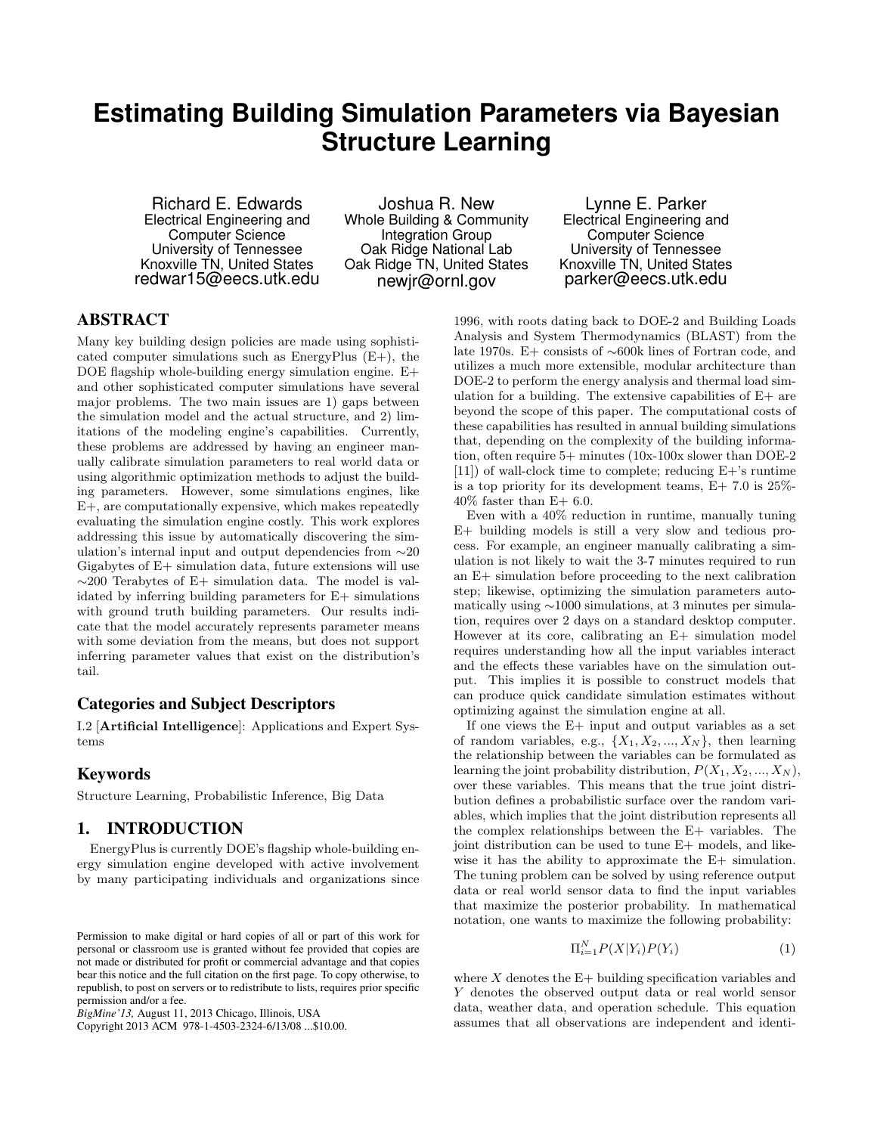# **Estimating Building Simulation Parameters via Bayesian Structure Learning**

Richard E. Edwards Electrical Engineering and Computer Science University of Tennessee Knoxville TN, United States redwar15@eecs.utk.edu

Joshua R. New Whole Building & Community Integration Group Oak Ridge National Lab Oak Ridge TN, United States newjr@ornl.gov

Lynne E. Parker Electrical Engineering and Computer Science University of Tennessee Knoxville TN, United States parker@eecs.utk.edu

## ABSTRACT

Many key building design policies are made using sophisticated computer simulations such as  $EnergyPlus (E+)$ , the DOE flagship whole-building energy simulation engine. E+ and other sophisticated computer simulations have several major problems. The two main issues are 1) gaps between the simulation model and the actual structure, and 2) limitations of the modeling engine's capabilities. Currently, these problems are addressed by having an engineer manually calibrate simulation parameters to real world data or using algorithmic optimization methods to adjust the building parameters. However, some simulations engines, like E+, are computationally expensive, which makes repeatedly evaluating the simulation engine costly. This work explores addressing this issue by automatically discovering the simulation's internal input and output dependencies from ∼20 Gigabytes of E+ simulation data, future extensions will use ∼200 Terabytes of E+ simulation data. The model is validated by inferring building parameters for E+ simulations with ground truth building parameters. Our results indicate that the model accurately represents parameter means with some deviation from the means, but does not support inferring parameter values that exist on the distribution's tail.

## Categories and Subject Descriptors

I.2 [Artificial Intelligence]: Applications and Expert Systems

## Keywords

Structure Learning, Probabilistic Inference, Big Data

#### 1. INTRODUCTION

EnergyPlus is currently DOE's flagship whole-building energy simulation engine developed with active involvement by many participating individuals and organizations since

Copyright 2013 ACM 978-1-4503-2324-6/13/08 ...\$10.00.

1996, with roots dating back to DOE-2 and Building Loads Analysis and System Thermodynamics (BLAST) from the late 1970s. E+ consists of ∼600k lines of Fortran code, and utilizes a much more extensible, modular architecture than DOE-2 to perform the energy analysis and thermal load simulation for a building. The extensive capabilities of  $E+$  are beyond the scope of this paper. The computational costs of these capabilities has resulted in annual building simulations that, depending on the complexity of the building information, often require 5+ minutes (10x-100x slower than DOE-2 [11]) of wall-clock time to complete; reducing E+'s runtime is a top priority for its development teams, E+ 7.0 is 25%-  $40\%$  faster than E+ 6.0.

Even with a 40% reduction in runtime, manually tuning E+ building models is still a very slow and tedious process. For example, an engineer manually calibrating a simulation is not likely to wait the 3-7 minutes required to run an E+ simulation before proceeding to the next calibration step; likewise, optimizing the simulation parameters automatically using ∼1000 simulations, at 3 minutes per simulation, requires over 2 days on a standard desktop computer. However at its core, calibrating an E+ simulation model requires understanding how all the input variables interact and the effects these variables have on the simulation output. This implies it is possible to construct models that can produce quick candidate simulation estimates without optimizing against the simulation engine at all.

If one views the E+ input and output variables as a set of random variables, e.g.,  $\{X_1, X_2, ..., X_N\}$ , then learning the relationship between the variables can be formulated as learning the joint probability distribution,  $P(X_1, X_2, ..., X_N)$ , over these variables. This means that the true joint distribution defines a probabilistic surface over the random variables, which implies that the joint distribution represents all the complex relationships between the E+ variables. The joint distribution can be used to tune E+ models, and likewise it has the ability to approximate the  $E+$  simulation. The tuning problem can be solved by using reference output data or real world sensor data to find the input variables that maximize the posterior probability. In mathematical notation, one wants to maximize the following probability:

$$
\Pi_{i=1}^{N} P(X|Y_i) P(Y_i)
$$
\n<sup>(1)</sup>

where  $X$  denotes the  $E+$  building specification variables and Y denotes the observed output data or real world sensor data, weather data, and operation schedule. This equation assumes that all observations are independent and identi-

Permission to make digital or hard copies of all or part of this work for personal or classroom use is granted without fee provided that copies are not made or distributed for profit or commercial advantage and that copies bear this notice and the full citation on the first page. To copy otherwise, to republish, to post on servers or to redistribute to lists, requires prior specific permission and/or a fee.

*BigMine'13,* August 11, 2013 Chicago, Illinois, USA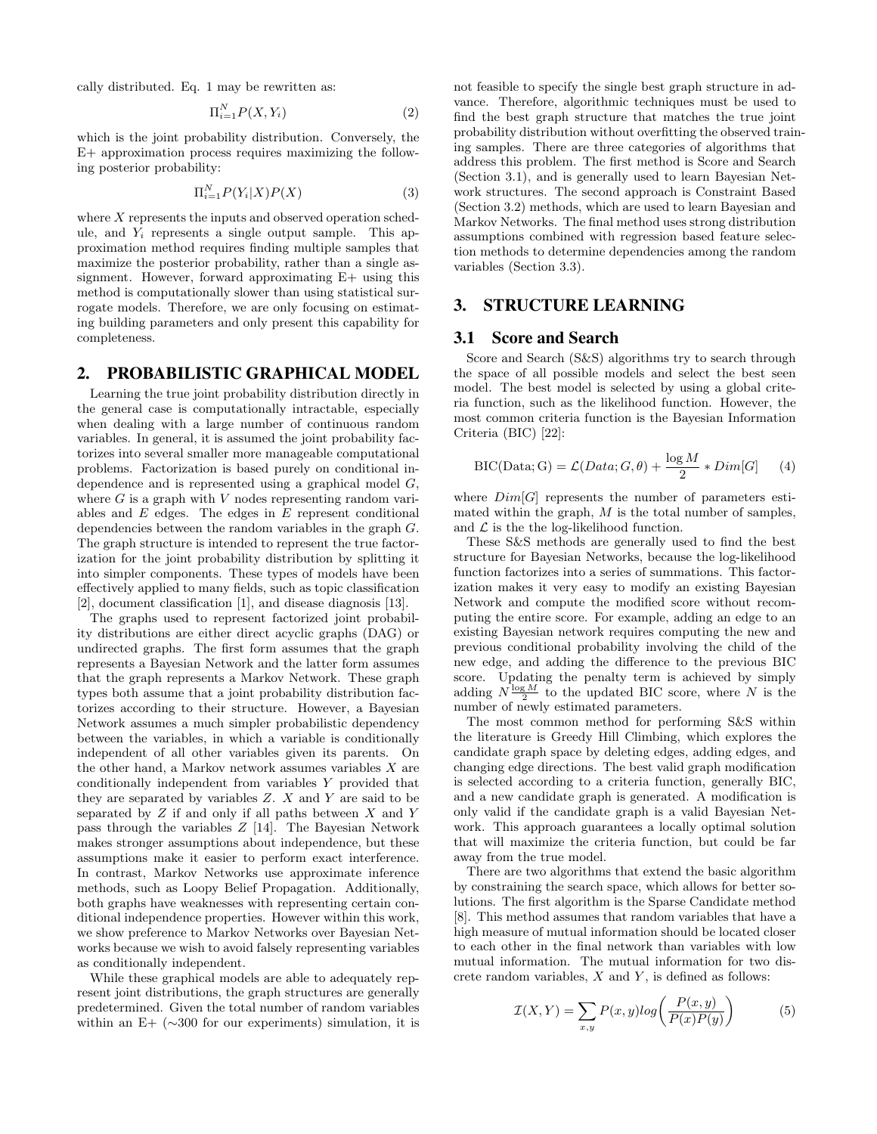cally distributed. Eq. 1 may be rewritten as:

$$
\Pi_{i=1}^{N} P(X, Y_i) \tag{2}
$$

which is the joint probability distribution. Conversely, the E+ approximation process requires maximizing the following posterior probability:

$$
\Pi_{i=1}^{N} P(Y_i|X)P(X) \tag{3}
$$

where X represents the inputs and observed operation schedule, and  $Y_i$  represents a single output sample. This approximation method requires finding multiple samples that maximize the posterior probability, rather than a single assignment. However, forward approximating E+ using this method is computationally slower than using statistical surrogate models. Therefore, we are only focusing on estimating building parameters and only present this capability for completeness.

#### 2. PROBABILISTIC GRAPHICAL MODEL

Learning the true joint probability distribution directly in the general case is computationally intractable, especially when dealing with a large number of continuous random variables. In general, it is assumed the joint probability factorizes into several smaller more manageable computational problems. Factorization is based purely on conditional independence and is represented using a graphical model G, where  $G$  is a graph with  $V$  nodes representing random variables and  $E$  edges. The edges in  $E$  represent conditional dependencies between the random variables in the graph G. The graph structure is intended to represent the true factorization for the joint probability distribution by splitting it into simpler components. These types of models have been effectively applied to many fields, such as topic classification [2], document classification [1], and disease diagnosis [13].

The graphs used to represent factorized joint probability distributions are either direct acyclic graphs (DAG) or undirected graphs. The first form assumes that the graph represents a Bayesian Network and the latter form assumes that the graph represents a Markov Network. These graph types both assume that a joint probability distribution factorizes according to their structure. However, a Bayesian Network assumes a much simpler probabilistic dependency between the variables, in which a variable is conditionally independent of all other variables given its parents. On the other hand, a Markov network assumes variables X are conditionally independent from variables Y provided that they are separated by variables  $Z$ .  $X$  and  $Y$  are said to be separated by  $Z$  if and only if all paths between  $X$  and  $Y$ pass through the variables Z [14]. The Bayesian Network makes stronger assumptions about independence, but these assumptions make it easier to perform exact interference. In contrast, Markov Networks use approximate inference methods, such as Loopy Belief Propagation. Additionally, both graphs have weaknesses with representing certain conditional independence properties. However within this work, we show preference to Markov Networks over Bayesian Networks because we wish to avoid falsely representing variables as conditionally independent.

While these graphical models are able to adequately represent joint distributions, the graph structures are generally predetermined. Given the total number of random variables within an E+  $(\sim 300$  for our experiments) simulation, it is not feasible to specify the single best graph structure in advance. Therefore, algorithmic techniques must be used to find the best graph structure that matches the true joint probability distribution without overfitting the observed training samples. There are three categories of algorithms that address this problem. The first method is Score and Search (Section 3.1), and is generally used to learn Bayesian Network structures. The second approach is Constraint Based (Section 3.2) methods, which are used to learn Bayesian and Markov Networks. The final method uses strong distribution assumptions combined with regression based feature selection methods to determine dependencies among the random variables (Section 3.3).

## 3. STRUCTURE LEARNING

#### 3.1 Score and Search

Score and Search (S&S) algorithms try to search through the space of all possible models and select the best seen model. The best model is selected by using a global criteria function, such as the likelihood function. However, the most common criteria function is the Bayesian Information Criteria (BIC) [22]:

$$
BIC(Data; G) = \mathcal{L}(Data; G, \theta) + \frac{\log M}{2} * Dim[G] \tag{4}
$$

where  $Dim[G]$  represents the number of parameters estimated within the graph,  $M$  is the total number of samples, and  $\mathcal L$  is the the log-likelihood function.

These S&S methods are generally used to find the best structure for Bayesian Networks, because the log-likelihood function factorizes into a series of summations. This factorization makes it very easy to modify an existing Bayesian Network and compute the modified score without recomputing the entire score. For example, adding an edge to an existing Bayesian network requires computing the new and previous conditional probability involving the child of the new edge, and adding the difference to the previous BIC score. Updating the penalty term is achieved by simply adding  $N\frac{\log M}{2}$  to the updated BIC score, where N is the number of newly estimated parameters.

The most common method for performing S&S within the literature is Greedy Hill Climbing, which explores the candidate graph space by deleting edges, adding edges, and changing edge directions. The best valid graph modification is selected according to a criteria function, generally BIC, and a new candidate graph is generated. A modification is only valid if the candidate graph is a valid Bayesian Network. This approach guarantees a locally optimal solution that will maximize the criteria function, but could be far away from the true model.

There are two algorithms that extend the basic algorithm by constraining the search space, which allows for better solutions. The first algorithm is the Sparse Candidate method [8]. This method assumes that random variables that have a high measure of mutual information should be located closer to each other in the final network than variables with low mutual information. The mutual information for two discrete random variables,  $X$  and  $Y$ , is defined as follows:

$$
\mathcal{I}(X,Y) = \sum_{x,y} P(x,y) \log \left( \frac{P(x,y)}{P(x)P(y)} \right) \tag{5}
$$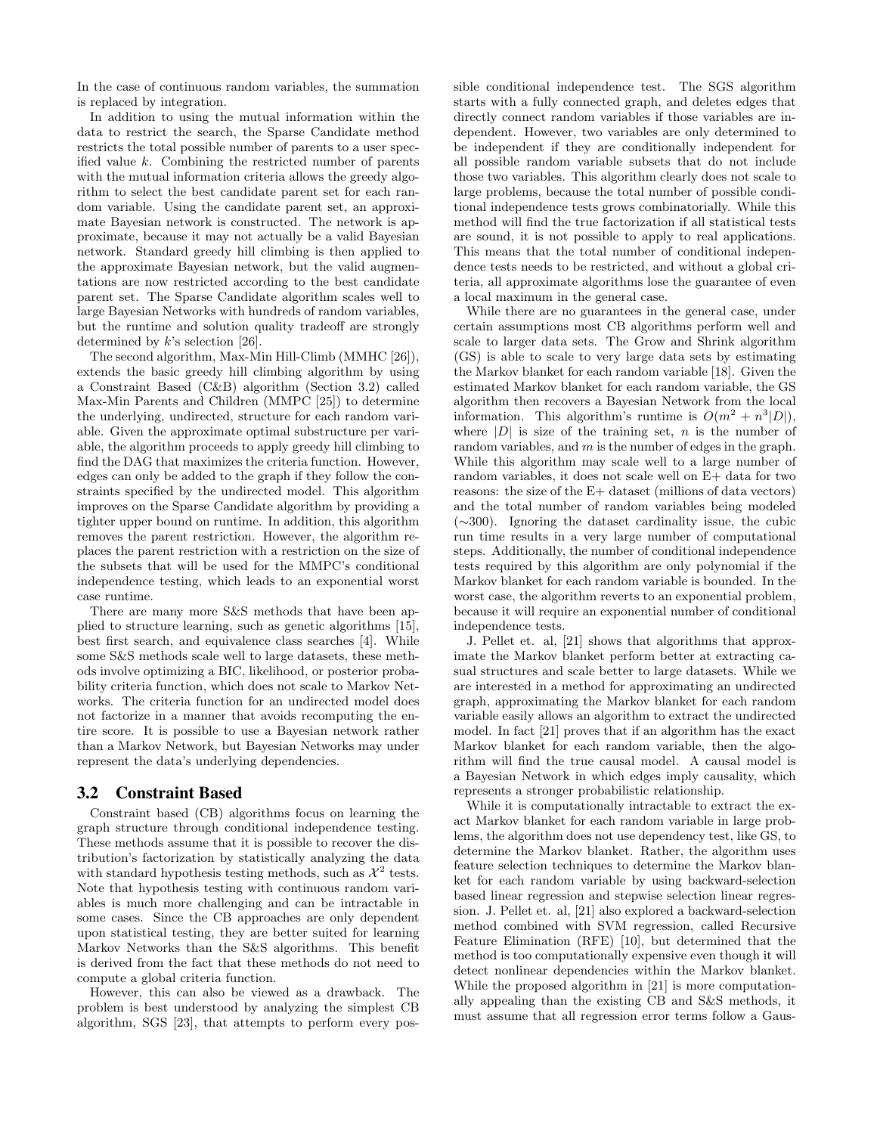In the case of continuous random variables, the summation is replaced by integration.

In addition to using the mutual information within the data to restrict the search, the Sparse Candidate method restricts the total possible number of parents to a user specified value k. Combining the restricted number of parents with the mutual information criteria allows the greedy algorithm to select the best candidate parent set for each random variable. Using the candidate parent set, an approximate Bayesian network is constructed. The network is approximate, because it may not actually be a valid Bayesian network. Standard greedy hill climbing is then applied to the approximate Bayesian network, but the valid augmentations are now restricted according to the best candidate parent set. The Sparse Candidate algorithm scales well to large Bayesian Networks with hundreds of random variables, but the runtime and solution quality tradeoff are strongly determined by  $k$ 's selection [26].

The second algorithm, Max-Min Hill-Climb (MMHC [26]), extends the basic greedy hill climbing algorithm by using a Constraint Based (C&B) algorithm (Section 3.2) called Max-Min Parents and Children (MMPC [25]) to determine the underlying, undirected, structure for each random variable. Given the approximate optimal substructure per variable, the algorithm proceeds to apply greedy hill climbing to find the DAG that maximizes the criteria function. However, edges can only be added to the graph if they follow the constraints specified by the undirected model. This algorithm improves on the Sparse Candidate algorithm by providing a tighter upper bound on runtime. In addition, this algorithm removes the parent restriction. However, the algorithm replaces the parent restriction with a restriction on the size of the subsets that will be used for the MMPC's conditional independence testing, which leads to an exponential worst case runtime.

There are many more S&S methods that have been applied to structure learning, such as genetic algorithms [15], best first search, and equivalence class searches [4]. While some S&S methods scale well to large datasets, these methods involve optimizing a BIC, likelihood, or posterior probability criteria function, which does not scale to Markov Networks. The criteria function for an undirected model does not factorize in a manner that avoids recomputing the entire score. It is possible to use a Bayesian network rather than a Markov Network, but Bayesian Networks may under represent the data's underlying dependencies.

#### 3.2 Constraint Based

Constraint based (CB) algorithms focus on learning the graph structure through conditional independence testing. These methods assume that it is possible to recover the distribution's factorization by statistically analyzing the data with standard hypothesis testing methods, such as  $\mathcal{X}^2$  tests. Note that hypothesis testing with continuous random variables is much more challenging and can be intractable in some cases. Since the CB approaches are only dependent upon statistical testing, they are better suited for learning Markov Networks than the S&S algorithms. This benefit is derived from the fact that these methods do not need to compute a global criteria function.

However, this can also be viewed as a drawback. The problem is best understood by analyzing the simplest CB algorithm, SGS [23], that attempts to perform every possible conditional independence test. The SGS algorithm starts with a fully connected graph, and deletes edges that directly connect random variables if those variables are independent. However, two variables are only determined to be independent if they are conditionally independent for all possible random variable subsets that do not include those two variables. This algorithm clearly does not scale to large problems, because the total number of possible conditional independence tests grows combinatorially. While this method will find the true factorization if all statistical tests are sound, it is not possible to apply to real applications. This means that the total number of conditional independence tests needs to be restricted, and without a global criteria, all approximate algorithms lose the guarantee of even a local maximum in the general case.

While there are no guarantees in the general case, under certain assumptions most CB algorithms perform well and scale to larger data sets. The Grow and Shrink algorithm (GS) is able to scale to very large data sets by estimating the Markov blanket for each random variable [18]. Given the estimated Markov blanket for each random variable, the GS algorithm then recovers a Bayesian Network from the local information. This algorithm's runtime is  $O(m^2 + n^3|D|)$ , where  $|D|$  is size of the training set, n is the number of random variables, and m is the number of edges in the graph. While this algorithm may scale well to a large number of random variables, it does not scale well on E+ data for two reasons: the size of the E+ dataset (millions of data vectors) and the total number of random variables being modeled (∼300). Ignoring the dataset cardinality issue, the cubic run time results in a very large number of computational steps. Additionally, the number of conditional independence tests required by this algorithm are only polynomial if the Markov blanket for each random variable is bounded. In the worst case, the algorithm reverts to an exponential problem, because it will require an exponential number of conditional independence tests.

J. Pellet et. al, [21] shows that algorithms that approximate the Markov blanket perform better at extracting casual structures and scale better to large datasets. While we are interested in a method for approximating an undirected graph, approximating the Markov blanket for each random variable easily allows an algorithm to extract the undirected model. In fact [21] proves that if an algorithm has the exact Markov blanket for each random variable, then the algorithm will find the true causal model. A causal model is a Bayesian Network in which edges imply causality, which represents a stronger probabilistic relationship.

While it is computationally intractable to extract the exact Markov blanket for each random variable in large problems, the algorithm does not use dependency test, like GS, to determine the Markov blanket. Rather, the algorithm uses feature selection techniques to determine the Markov blanket for each random variable by using backward-selection based linear regression and stepwise selection linear regression. J. Pellet et. al, [21] also explored a backward-selection method combined with SVM regression, called Recursive Feature Elimination (RFE) [10], but determined that the method is too computationally expensive even though it will detect nonlinear dependencies within the Markov blanket. While the proposed algorithm in [21] is more computationally appealing than the existing CB and S&S methods, it must assume that all regression error terms follow a Gaus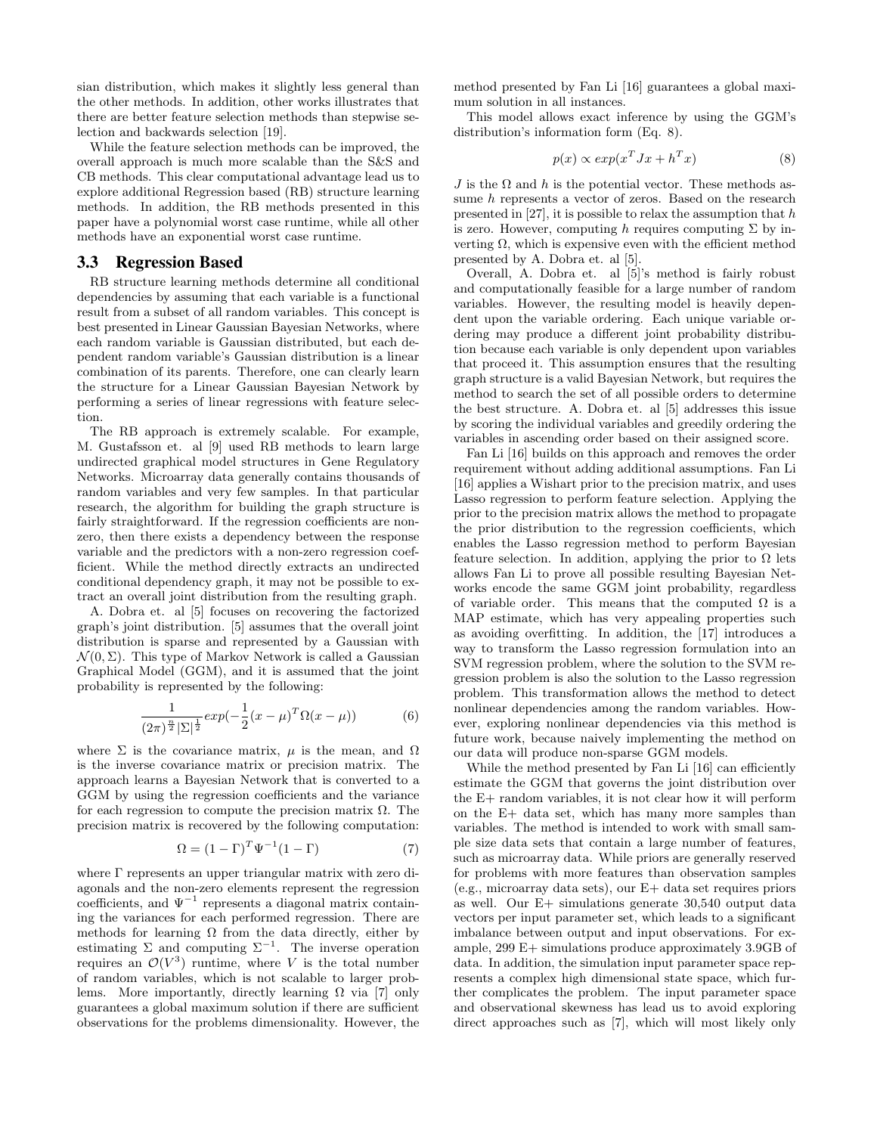sian distribution, which makes it slightly less general than the other methods. In addition, other works illustrates that there are better feature selection methods than stepwise selection and backwards selection [19].

While the feature selection methods can be improved, the overall approach is much more scalable than the S&S and CB methods. This clear computational advantage lead us to explore additional Regression based (RB) structure learning methods. In addition, the RB methods presented in this paper have a polynomial worst case runtime, while all other methods have an exponential worst case runtime.

#### 3.3 Regression Based

RB structure learning methods determine all conditional dependencies by assuming that each variable is a functional result from a subset of all random variables. This concept is best presented in Linear Gaussian Bayesian Networks, where each random variable is Gaussian distributed, but each dependent random variable's Gaussian distribution is a linear combination of its parents. Therefore, one can clearly learn the structure for a Linear Gaussian Bayesian Network by performing a series of linear regressions with feature selection.

The RB approach is extremely scalable. For example, M. Gustafsson et. al [9] used RB methods to learn large undirected graphical model structures in Gene Regulatory Networks. Microarray data generally contains thousands of random variables and very few samples. In that particular research, the algorithm for building the graph structure is fairly straightforward. If the regression coefficients are nonzero, then there exists a dependency between the response variable and the predictors with a non-zero regression coefficient. While the method directly extracts an undirected conditional dependency graph, it may not be possible to extract an overall joint distribution from the resulting graph.

A. Dobra et. al [5] focuses on recovering the factorized graph's joint distribution. [5] assumes that the overall joint distribution is sparse and represented by a Gaussian with  $\mathcal{N}(0, \Sigma)$ . This type of Markov Network is called a Gaussian Graphical Model (GGM), and it is assumed that the joint probability is represented by the following:

$$
\frac{1}{(2\pi)^{\frac{n}{2}}|\Sigma|^{\frac{1}{2}}}exp(-\frac{1}{2}(x-\mu)^{T}\Omega(x-\mu))
$$
(6)

where  $\Sigma$  is the covariance matrix,  $\mu$  is the mean, and  $\Omega$ is the inverse covariance matrix or precision matrix. The approach learns a Bayesian Network that is converted to a GGM by using the regression coefficients and the variance for each regression to compute the precision matrix  $\Omega$ . The precision matrix is recovered by the following computation:

$$
\Omega = (1 - \Gamma)^T \Psi^{-1} (1 - \Gamma) \tag{7}
$$

where Γ represents an upper triangular matrix with zero diagonals and the non-zero elements represent the regression coefficients, and  $\Psi^{-1}$  represents a diagonal matrix containing the variances for each performed regression. There are methods for learning  $\Omega$  from the data directly, either by estimating  $\Sigma$  and computing  $\Sigma^{-1}$ . The inverse operation requires an  $\mathcal{O}(V^3)$  runtime, where V is the total number of random variables, which is not scalable to larger problems. More importantly, directly learning  $\Omega$  via [7] only guarantees a global maximum solution if there are sufficient observations for the problems dimensionality. However, the method presented by Fan Li [16] guarantees a global maximum solution in all instances.

This model allows exact inference by using the GGM's distribution's information form (Eq. 8).

$$
p(x) \propto exp(x^T Jx + h^T x) \tag{8}
$$

J is the  $\Omega$  and h is the potential vector. These methods assume h represents a vector of zeros. Based on the research presented in [27], it is possible to relax the assumption that  $h$ is zero. However, computing h requires computing  $\Sigma$  by inverting  $\Omega$ , which is expensive even with the efficient method presented by A. Dobra et. al [5].

Overall, A. Dobra et. al [5]'s method is fairly robust and computationally feasible for a large number of random variables. However, the resulting model is heavily dependent upon the variable ordering. Each unique variable ordering may produce a different joint probability distribution because each variable is only dependent upon variables that proceed it. This assumption ensures that the resulting graph structure is a valid Bayesian Network, but requires the method to search the set of all possible orders to determine the best structure. A. Dobra et. al [5] addresses this issue by scoring the individual variables and greedily ordering the variables in ascending order based on their assigned score.

Fan Li [16] builds on this approach and removes the order requirement without adding additional assumptions. Fan Li [16] applies a Wishart prior to the precision matrix, and uses Lasso regression to perform feature selection. Applying the prior to the precision matrix allows the method to propagate the prior distribution to the regression coefficients, which enables the Lasso regression method to perform Bayesian feature selection. In addition, applying the prior to  $\Omega$  lets allows Fan Li to prove all possible resulting Bayesian Networks encode the same GGM joint probability, regardless of variable order. This means that the computed  $\Omega$  is a MAP estimate, which has very appealing properties such as avoiding overfitting. In addition, the [17] introduces a way to transform the Lasso regression formulation into an SVM regression problem, where the solution to the SVM regression problem is also the solution to the Lasso regression problem. This transformation allows the method to detect nonlinear dependencies among the random variables. However, exploring nonlinear dependencies via this method is future work, because naively implementing the method on our data will produce non-sparse GGM models.

While the method presented by Fan Li [16] can efficiently estimate the GGM that governs the joint distribution over the E+ random variables, it is not clear how it will perform on the E+ data set, which has many more samples than variables. The method is intended to work with small sample size data sets that contain a large number of features, such as microarray data. While priors are generally reserved for problems with more features than observation samples (e.g., microarray data sets), our E+ data set requires priors as well. Our E+ simulations generate 30,540 output data vectors per input parameter set, which leads to a significant imbalance between output and input observations. For example, 299 E+ simulations produce approximately 3.9GB of data. In addition, the simulation input parameter space represents a complex high dimensional state space, which further complicates the problem. The input parameter space and observational skewness has lead us to avoid exploring direct approaches such as [7], which will most likely only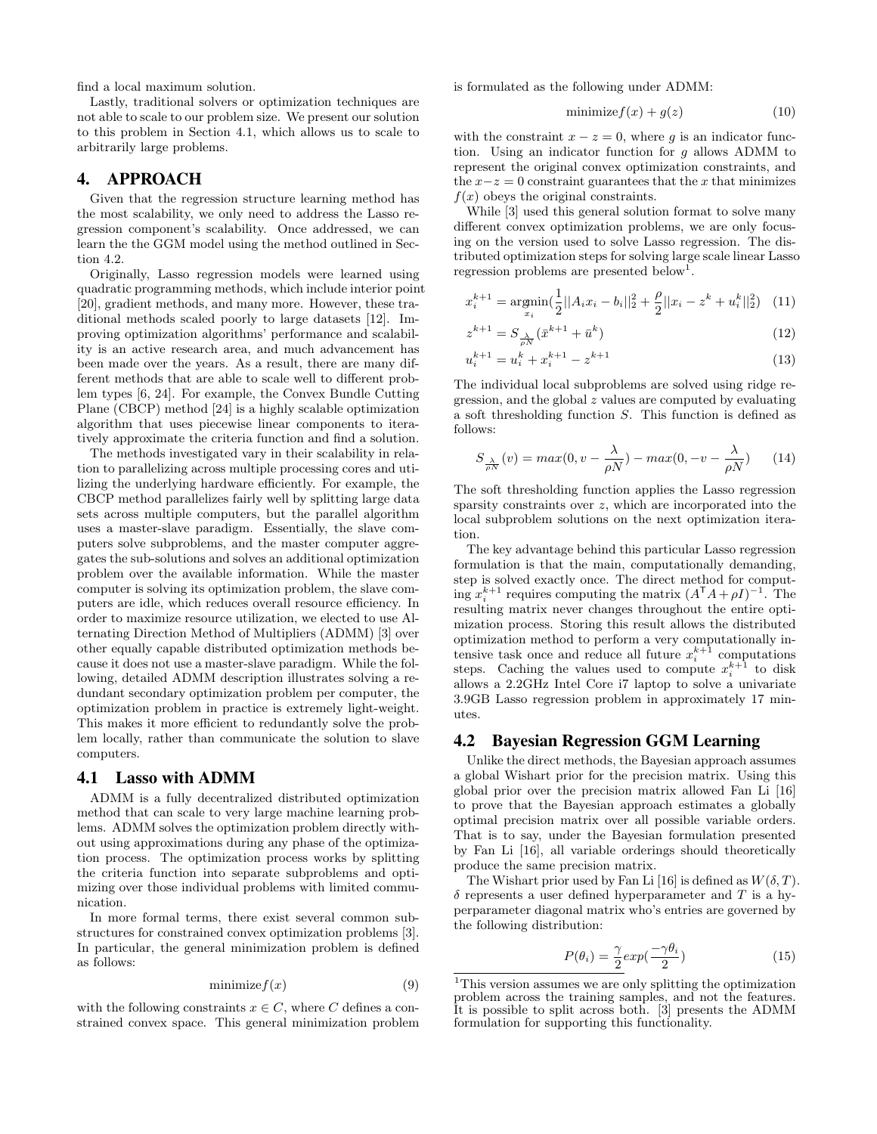find a local maximum solution.

Lastly, traditional solvers or optimization techniques are not able to scale to our problem size. We present our solution to this problem in Section 4.1, which allows us to scale to arbitrarily large problems.

## 4. APPROACH

Given that the regression structure learning method has the most scalability, we only need to address the Lasso regression component's scalability. Once addressed, we can learn the the GGM model using the method outlined in Section 4.2.

Originally, Lasso regression models were learned using quadratic programming methods, which include interior point [20], gradient methods, and many more. However, these traditional methods scaled poorly to large datasets [12]. Improving optimization algorithms' performance and scalability is an active research area, and much advancement has been made over the years. As a result, there are many different methods that are able to scale well to different problem types [6, 24]. For example, the Convex Bundle Cutting Plane (CBCP) method [24] is a highly scalable optimization algorithm that uses piecewise linear components to iteratively approximate the criteria function and find a solution.

The methods investigated vary in their scalability in relation to parallelizing across multiple processing cores and utilizing the underlying hardware efficiently. For example, the CBCP method parallelizes fairly well by splitting large data sets across multiple computers, but the parallel algorithm uses a master-slave paradigm. Essentially, the slave computers solve subproblems, and the master computer aggregates the sub-solutions and solves an additional optimization problem over the available information. While the master computer is solving its optimization problem, the slave computers are idle, which reduces overall resource efficiency. In order to maximize resource utilization, we elected to use Alternating Direction Method of Multipliers (ADMM) [3] over other equally capable distributed optimization methods because it does not use a master-slave paradigm. While the following, detailed ADMM description illustrates solving a redundant secondary optimization problem per computer, the optimization problem in practice is extremely light-weight. This makes it more efficient to redundantly solve the problem locally, rather than communicate the solution to slave computers.

#### 4.1 Lasso with ADMM

ADMM is a fully decentralized distributed optimization method that can scale to very large machine learning problems. ADMM solves the optimization problem directly without using approximations during any phase of the optimization process. The optimization process works by splitting the criteria function into separate subproblems and optimizing over those individual problems with limited communication.

In more formal terms, there exist several common substructures for constrained convex optimization problems [3]. In particular, the general minimization problem is defined as follows:

$$
\text{minimize} f(x) \tag{9}
$$

with the following constraints  $x \in C$ , where C defines a constrained convex space. This general minimization problem is formulated as the following under ADMM:

$$
\text{minimize} f(x) + g(z) \tag{10}
$$

with the constraint  $x - z = 0$ , where q is an indicator function. Using an indicator function for  $q$  allows ADMM to represent the original convex optimization constraints, and the  $x-z=0$  constraint guarantees that the x that minimizes  $f(x)$  obeys the original constraints.

While [3] used this general solution format to solve many different convex optimization problems, we are only focusing on the version used to solve Lasso regression. The distributed optimization steps for solving large scale linear Lasso regression problems are presented below<sup>1</sup>.

$$
x_i^{k+1} = \underset{x_i}{\text{argmin}} \left( \frac{1}{2} ||A_i x_i - b_i||_2^2 + \frac{\rho}{2} ||x_i - z^k + u_i^k||_2^2 \right) \tag{11}
$$

$$
z^{k+1} = S_{\frac{\lambda}{\rho^N}}(\bar{x}^{k+1} + \bar{u}^k)
$$
 (12)

$$
u_i^{k+1} = u_i^k + x_i^{k+1} - z^{k+1}
$$
\n(13)

The individual local subproblems are solved using ridge regression, and the global  $z$  values are computed by evaluating a soft thresholding function S. This function is defined as follows:

$$
S_{\frac{\lambda}{\rho N}}(v) = max(0, v - \frac{\lambda}{\rho N}) - max(0, -v - \frac{\lambda}{\rho N}) \qquad (14)
$$

The soft thresholding function applies the Lasso regression sparsity constraints over z, which are incorporated into the local subproblem solutions on the next optimization iteration.

The key advantage behind this particular Lasso regression formulation is that the main, computationally demanding, step is solved exactly once. The direct method for computing  $x_i^{k+1}$  requires computing the matrix  $(A^{\mathsf{T}}A + \rho I)^{-1}$ . The resulting matrix never changes throughout the entire optimization process. Storing this result allows the distributed optimization method to perform a very computationally intensive task once and reduce all future  $x_i^{k+1}$  computations steps. Caching the values used to compute  $x_i^{k+1}$  to disk allows a 2.2GHz Intel Core i7 laptop to solve a univariate 3.9GB Lasso regression problem in approximately 17 minutes.

#### 4.2 Bayesian Regression GGM Learning

Unlike the direct methods, the Bayesian approach assumes a global Wishart prior for the precision matrix. Using this global prior over the precision matrix allowed Fan Li [16] to prove that the Bayesian approach estimates a globally optimal precision matrix over all possible variable orders. That is to say, under the Bayesian formulation presented by Fan Li [16], all variable orderings should theoretically produce the same precision matrix.

The Wishart prior used by Fan Li [16] is defined as  $W(\delta, T)$ .  $\delta$  represents a user defined hyperparameter and T is a hyperparameter diagonal matrix who's entries are governed by the following distribution:

$$
P(\theta_i) = \frac{\gamma}{2} exp(\frac{-\gamma \theta_i}{2})
$$
\n(15)

<sup>&</sup>lt;sup>1</sup>This version assumes we are only splitting the optimization problem across the training samples, and not the features. It is possible to split across both. [3] presents the ADMM formulation for supporting this functionality.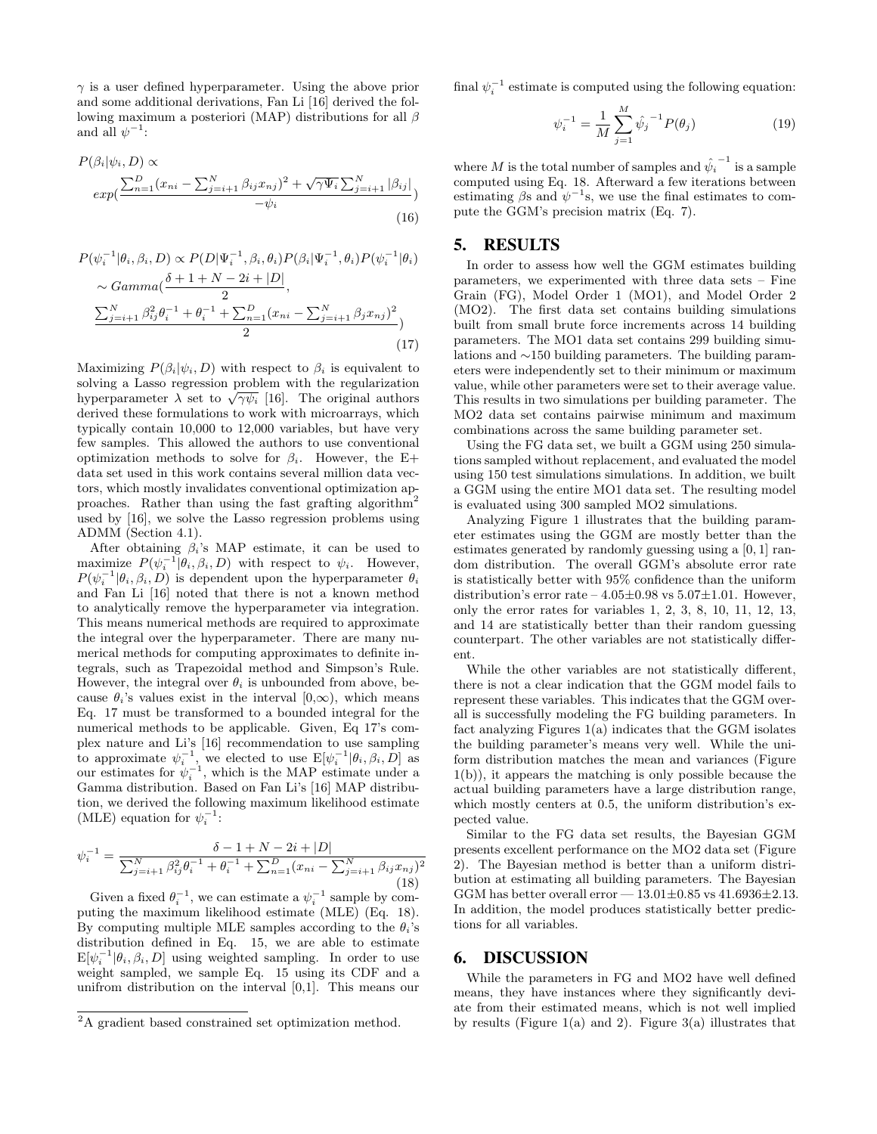$\gamma$  is a user defined hyperparameter. Using the above prior and some additional derivations, Fan Li [16] derived the following maximum a posteriori (MAP) distributions for all β and all  $\psi^{-1}$ :

$$
P(\beta_i|\psi_i, D) \propto
$$
  
\n
$$
exp(\frac{\sum_{n=1}^{D} (x_{ni} - \sum_{j=i+1}^{N} \beta_{ij} x_{nj})^2 + \sqrt{\gamma \Psi_i} \sum_{j=i+1}^{N} |\beta_{ij}|}{-\psi_i})
$$
  
\n(16)

$$
P(\psi_i^{-1}|\theta_i, \beta_i, D) \propto P(D|\Psi_i^{-1}, \beta_i, \theta_i) P(\beta_i|\Psi_i^{-1}, \theta_i) P(\psi_i^{-1}|\theta_i)
$$
  
~ 
$$
\sim Gamma(\frac{\delta + 1 + N - 2i + |D|}{2},
$$
  
 
$$
\frac{\sum_{j=i+1}^{N} \beta_{ij}^2 \theta_i^{-1} + \theta_i^{-1} + \sum_{n=1}^{D} (x_{ni} - \sum_{j=i+1}^{N} \beta_j x_{nj})^2}{2})
$$
(17)

Maximizing  $P(\beta_i|\psi_i, D)$  with respect to  $\beta_i$  is equivalent to solving a Lasso regression problem with the regularization solving a Lasso regression problem with the regularization<br>hyperparameter  $\lambda$  set to  $\sqrt{\gamma \psi_i}$  [16]. The original authors derived these formulations to work with microarrays, which typically contain 10,000 to 12,000 variables, but have very few samples. This allowed the authors to use conventional optimization methods to solve for  $\beta_i$ . However, the E+ data set used in this work contains several million data vectors, which mostly invalidates conventional optimization approaches. Rather than using the fast grafting algorithm<sup>2</sup> used by [16], we solve the Lasso regression problems using ADMM (Section 4.1).

After obtaining  $\beta_i$ 's MAP estimate, it can be used to maximize  $P(\psi_i^{-1}|\theta_i, \beta_i, D)$  with respect to  $\psi_i$ . However,  $P(\psi_i^{-1} | \theta_i, \beta_i, D)$  is dependent upon the hyperparameter  $\theta_i$ and Fan Li [16] noted that there is not a known method to analytically remove the hyperparameter via integration. This means numerical methods are required to approximate the integral over the hyperparameter. There are many numerical methods for computing approximates to definite integrals, such as Trapezoidal method and Simpson's Rule. However, the integral over  $\theta_i$  is unbounded from above, because  $\theta_i$ 's values exist in the interval  $[0,\infty)$ , which means Eq. 17 must be transformed to a bounded integral for the numerical methods to be applicable. Given, Eq 17's complex nature and Li's [16] recommendation to use sampling to approximate  $\psi_i^{-1}$ , we elected to use  $E[\psi_i^{-1} | \theta_i, \beta_i, D]$  as our estimates for  $\psi_i^{-1}$ , which is the MAP estimate under a Gamma distribution. Based on Fan Li's [16] MAP distribution, we derived the following maximum likelihood estimate (MLE) equation for  $\psi_i^{-1}$ :

$$
\psi_i^{-1} = \frac{\delta - 1 + N - 2i + |D|}{\sum_{j=i+1}^N \beta_{ij}^2 \theta_i^{-1} + \theta_i^{-1} + \sum_{n=1}^D (x_{ni} - \sum_{j=i+1}^N \beta_{ij} x_{nj})^2}
$$
(18)

Given a fixed  $\theta_i^{-1}$ , we can estimate a  $\psi_i^{-1}$  sample by computing the maximum likelihood estimate (MLE) (Eq. 18). By computing multiple MLE samples according to the  $\theta_i$ 's distribution defined in Eq. 15, we are able to estimate  $\mathbb{E}[\psi_i^{-1}|\theta_i, \beta_i, D]$  using weighted sampling. In order to use weight sampled, we sample Eq. 15 using its CDF and a unifrom distribution on the interval [0,1]. This means our

final  $\psi_i^{-1}$  estimate is computed using the following equation:

$$
\psi_i^{-1} = \frac{1}{M} \sum_{j=1}^{M} \hat{\psi}_j^{-1} P(\theta_j)
$$
 (19)

where M is the total number of samples and  $\hat{\psi_i}^{-1}$  is a sample computed using Eq. 18. Afterward a few iterations between estimating  $\beta$ s and  $\psi^{-1}$ s, we use the final estimates to compute the GGM's precision matrix (Eq. 7).

#### 5. RESULTS

In order to assess how well the GGM estimates building parameters, we experimented with three data sets – Fine Grain (FG), Model Order 1 (MO1), and Model Order 2 (MO2). The first data set contains building simulations built from small brute force increments across 14 building parameters. The MO1 data set contains 299 building simulations and ∼150 building parameters. The building parameters were independently set to their minimum or maximum value, while other parameters were set to their average value. This results in two simulations per building parameter. The MO2 data set contains pairwise minimum and maximum combinations across the same building parameter set.

Using the FG data set, we built a GGM using 250 simulations sampled without replacement, and evaluated the model using 150 test simulations simulations. In addition, we built a GGM using the entire MO1 data set. The resulting model is evaluated using 300 sampled MO2 simulations.

Analyzing Figure 1 illustrates that the building parameter estimates using the GGM are mostly better than the estimates generated by randomly guessing using a [0, 1] random distribution. The overall GGM's absolute error rate is statistically better with 95% confidence than the uniform distribution's error rate –  $4.05\pm0.98$  vs  $5.07\pm1.01$ . However, only the error rates for variables 1, 2, 3, 8, 10, 11, 12, 13, and 14 are statistically better than their random guessing counterpart. The other variables are not statistically different.

While the other variables are not statistically different, there is not a clear indication that the GGM model fails to represent these variables. This indicates that the GGM overall is successfully modeling the FG building parameters. In fact analyzing Figures 1(a) indicates that the GGM isolates the building parameter's means very well. While the uniform distribution matches the mean and variances (Figure  $1(b)$ , it appears the matching is only possible because the actual building parameters have a large distribution range, which mostly centers at 0.5, the uniform distribution's expected value.

Similar to the FG data set results, the Bayesian GGM presents excellent performance on the MO2 data set (Figure 2). The Bayesian method is better than a uniform distribution at estimating all building parameters. The Bayesian GGM has better overall error  $-13.01\pm0.85$  vs  $41.6936\pm2.13$ . In addition, the model produces statistically better predictions for all variables.

#### 6. DISCUSSION

While the parameters in FG and MO2 have well defined means, they have instances where they significantly deviate from their estimated means, which is not well implied by results (Figure 1(a) and 2). Figure 3(a) illustrates that

<sup>2</sup>A gradient based constrained set optimization method.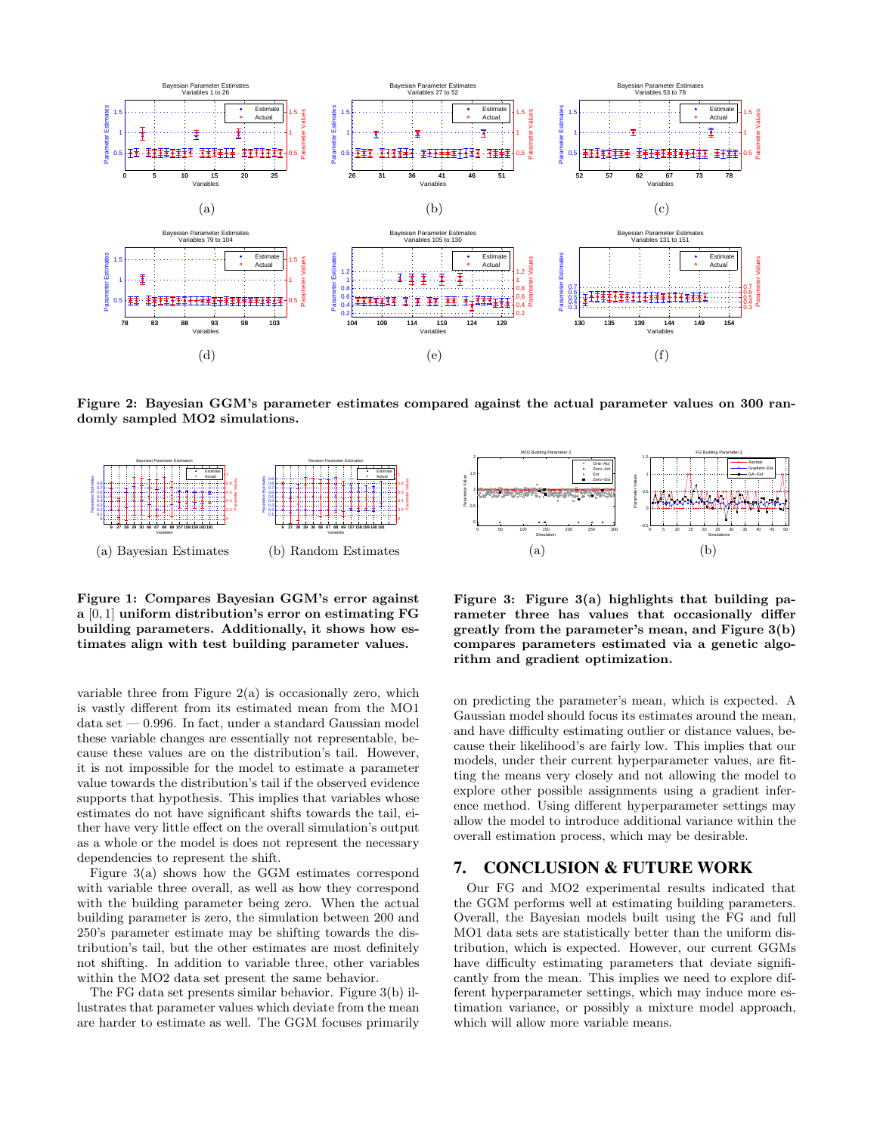

Figure 2: Bayesian GGM's parameter estimates compared against the actual parameter values on 300 randomly sampled MO2 simulations.



Figure 1: Compares Bayesian GGM's error against a  $[0, 1]$  uniform distribution's error on estimating FG building parameters. Additionally, it shows how estimates align with test building parameter values.

variable three from Figure  $2(a)$  is occasionally zero, which is vastly different from its estimated mean from the MO1 data set — 0.996. In fact, under a standard Gaussian model these variable changes are essentially not representable, because these values are on the distribution's tail. However, it is not impossible for the model to estimate a parameter value towards the distribution's tail if the observed evidence supports that hypothesis. This implies that variables whose estimates do not have significant shifts towards the tail, either have very little effect on the overall simulation's output as a whole or the model is does not represent the necessary dependencies to represent the shift.

Figure 3(a) shows how the GGM estimates correspond with variable three overall, as well as how they correspond with the building parameter being zero. When the actual building parameter is zero, the simulation between 200 and 250's parameter estimate may be shifting towards the distribution's tail, but the other estimates are most definitely not shifting. In addition to variable three, other variables within the MO2 data set present the same behavior.

The FG data set presents similar behavior. Figure 3(b) illustrates that parameter values which deviate from the mean are harder to estimate as well. The GGM focuses primarily

Figure 3: Figure 3(a) highlights that building parameter three has values that occasionally differ greatly from the parameter's mean, and Figure 3(b) compares parameters estimated via a genetic algorithm and gradient optimization.

Aactual Gradient−Est GA−Est

on predicting the parameter's mean, which is expected. A Gaussian model should focus its estimates around the mean, and have difficulty estimating outlier or distance values, because their likelihood's are fairly low. This implies that our models, under their current hyperparameter values, are fitting the means very closely and not allowing the model to explore other possible assignments using a gradient inference method. Using different hyperparameter settings may allow the model to introduce additional variance within the overall estimation process, which may be desirable.

#### 7. CONCLUSION & FUTURE WORK

Our FG and MO2 experimental results indicated that the GGM performs well at estimating building parameters. Overall, the Bayesian models built using the FG and full MO1 data sets are statistically better than the uniform distribution, which is expected. However, our current GGMs have difficulty estimating parameters that deviate significantly from the mean. This implies we need to explore different hyperparameter settings, which may induce more estimation variance, or possibly a mixture model approach, which will allow more variable means.